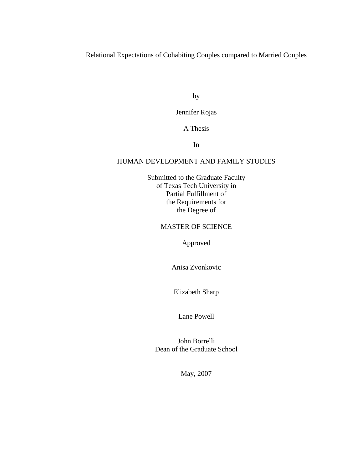Relational Expectations of Cohabiting Couples compared to Married Couples

by

Jennifer Rojas

A Thesis

In

### HUMAN DEVELOPMENT AND FAMILY STUDIES

Submitted to the Graduate Faculty of Texas Tech University in Partial Fulfillment of the Requirements for the Degree of

#### MASTER OF SCIENCE

Approved

Anisa Zvonkovic

Elizabeth Sharp

Lane Powell

John Borrelli Dean of the Graduate School

May, 2007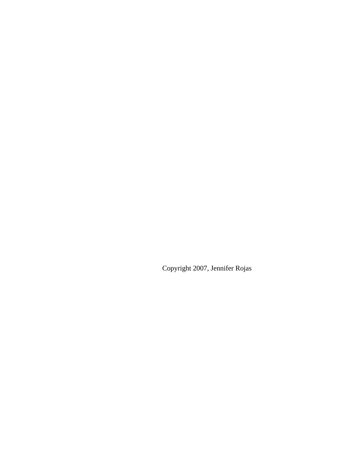Copyright 2007, Jennifer Rojas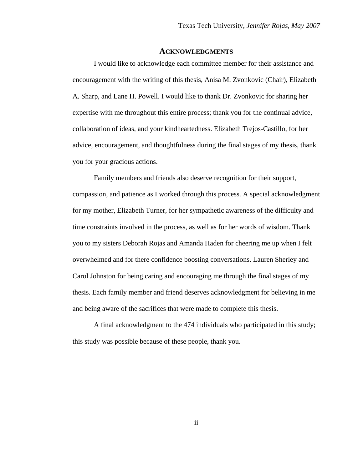#### **ACKNOWLEDGMENTS**

I would like to acknowledge each committee member for their assistance and encouragement with the writing of this thesis, Anisa M. Zvonkovic (Chair), Elizabeth A. Sharp, and Lane H. Powell. I would like to thank Dr. Zvonkovic for sharing her expertise with me throughout this entire process; thank you for the continual advice, collaboration of ideas, and your kindheartedness. Elizabeth Trejos-Castillo, for her advice, encouragement, and thoughtfulness during the final stages of my thesis, thank you for your gracious actions.

Family members and friends also deserve recognition for their support, compassion, and patience as I worked through this process. A special acknowledgment for my mother, Elizabeth Turner, for her sympathetic awareness of the difficulty and time constraints involved in the process, as well as for her words of wisdom. Thank you to my sisters Deborah Rojas and Amanda Haden for cheering me up when I felt overwhelmed and for there confidence boosting conversations. Lauren Sherley and Carol Johnston for being caring and encouraging me through the final stages of my thesis. Each family member and friend deserves acknowledgment for believing in me and being aware of the sacrifices that were made to complete this thesis.

A final acknowledgment to the 474 individuals who participated in this study; this study was possible because of these people, thank you.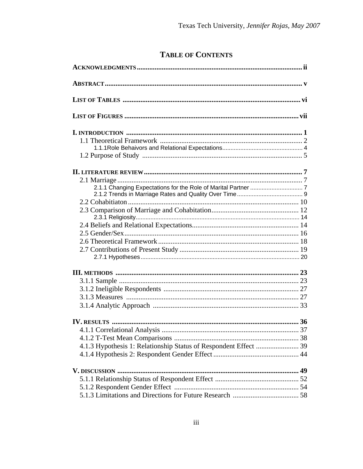## **TABLE OF CONTENTS**

| 4.1.3 Hypothesis 1: Relationship Status of Respondent Effect  39 |  |
|------------------------------------------------------------------|--|
|                                                                  |  |
|                                                                  |  |
|                                                                  |  |
|                                                                  |  |
|                                                                  |  |
|                                                                  |  |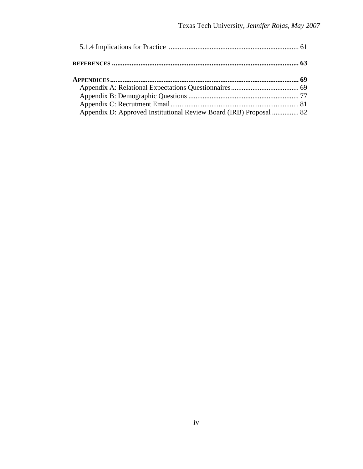| Appendix D: Approved Institutional Review Board (IRB) Proposal  82 |  |
|--------------------------------------------------------------------|--|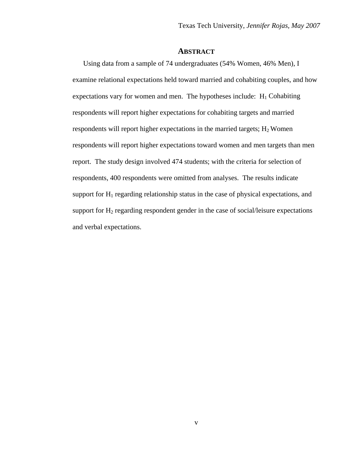#### **ABSTRACT**

Using data from a sample of 74 undergraduates (54% Women, 46% Men), I examine relational expectations held toward married and cohabiting couples, and how expectations vary for women and men. The hypotheses include:  $H_1$  Cohabiting respondents will report higher expectations for cohabiting targets and married respondents will report higher expectations in the married targets;  $H_2$  Women respondents will report higher expectations toward women and men targets than men report. The study design involved 474 students; with the criteria for selection of respondents, 400 respondents were omitted from analyses. The results indicate support for  $H_1$  regarding relationship status in the case of physical expectations, and support for  $H_2$  regarding respondent gender in the case of social/leisure expectations and verbal expectations.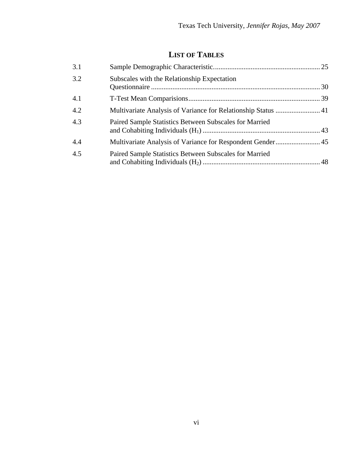# **LIST OF TABLES**

| 3.1 |                                                               |  |
|-----|---------------------------------------------------------------|--|
| 3.2 | Subscales with the Relationship Expectation                   |  |
| 4.1 |                                                               |  |
| 4.2 | Multivariate Analysis of Variance for Relationship Status  41 |  |
| 4.3 | Paired Sample Statistics Between Subscales for Married        |  |
| 4.4 |                                                               |  |
| 4.5 | Paired Sample Statistics Between Subscales for Married        |  |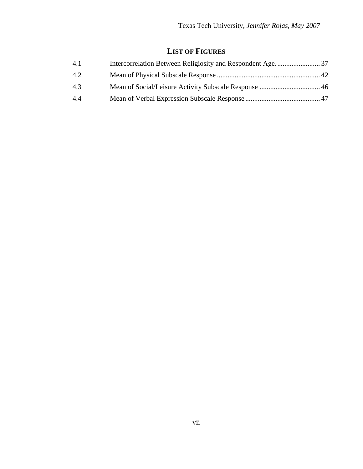## **LIST OF FIGURES**

| 4.1 |  |
|-----|--|
| 4.2 |  |
| 4.3 |  |
| 4.4 |  |